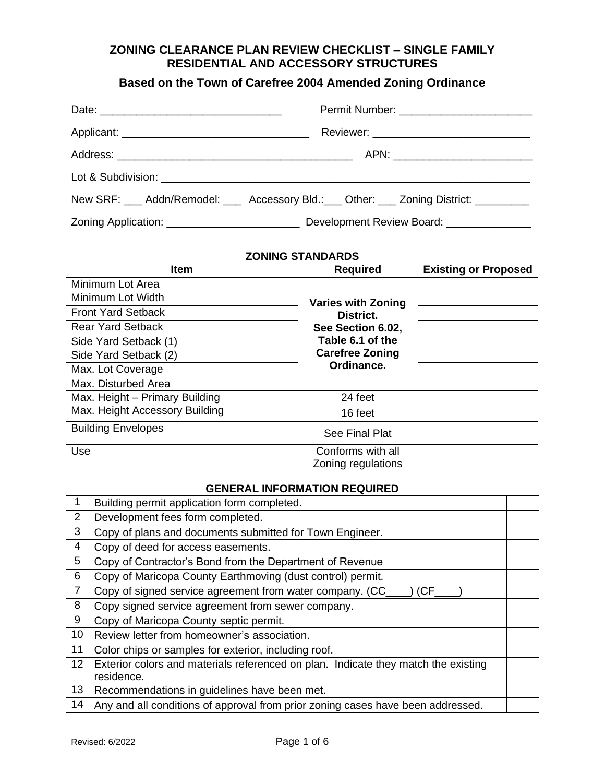### **ZONING CLEARANCE PLAN REVIEW CHECKLIST – SINGLE FAMILY RESIDENTIAL AND ACCESSORY STRUCTURES**

## **Based on the Town of Carefree 2004 Amended Zoning Ordinance**

| New SRF: ___ Addn/Remodel: ___ Accessory Bld.: ___ Other: ___ Zoning District: ________ |  |
|-----------------------------------------------------------------------------------------|--|
|                                                                                         |  |

### **ZONING STANDARDS**

| <b>Item</b>                    | <b>Required</b>                         | <b>Existing or Proposed</b> |
|--------------------------------|-----------------------------------------|-----------------------------|
| Minimum Lot Area               |                                         |                             |
| Minimum Lot Width              | <b>Varies with Zoning</b>               |                             |
| <b>Front Yard Setback</b>      | District.                               |                             |
| <b>Rear Yard Setback</b>       | See Section 6.02,                       |                             |
| Side Yard Setback (1)          | Table 6.1 of the                        |                             |
| Side Yard Setback (2)          | <b>Carefree Zoning</b>                  |                             |
| Max. Lot Coverage              | Ordinance.                              |                             |
| Max. Disturbed Area            |                                         |                             |
| Max. Height - Primary Building | 24 feet                                 |                             |
| Max. Height Accessory Building | 16 feet                                 |                             |
| <b>Building Envelopes</b>      | See Final Plat                          |                             |
| Use                            | Conforms with all<br>Zoning regulations |                             |

#### **GENERAL INFORMATION REQUIRED**

|    | Building permit application form completed.                                        |  |
|----|------------------------------------------------------------------------------------|--|
| 2  | Development fees form completed.                                                   |  |
| 3  | Copy of plans and documents submitted for Town Engineer.                           |  |
| 4  | Copy of deed for access easements.                                                 |  |
| 5  | Copy of Contractor's Bond from the Department of Revenue                           |  |
| 6  | Copy of Maricopa County Earthmoving (dust control) permit.                         |  |
|    | Copy of signed service agreement from water company. (CC_<br>(CF)                  |  |
| 8  | Copy signed service agreement from sewer company.                                  |  |
| 9  | Copy of Maricopa County septic permit.                                             |  |
| 10 | Review letter from homeowner's association.                                        |  |
| 11 | Color chips or samples for exterior, including roof.                               |  |
| 12 | Exterior colors and materials referenced on plan. Indicate they match the existing |  |
|    | residence.                                                                         |  |
| 13 | Recommendations in guidelines have been met.                                       |  |
| 14 | Any and all conditions of approval from prior zoning cases have been addressed.    |  |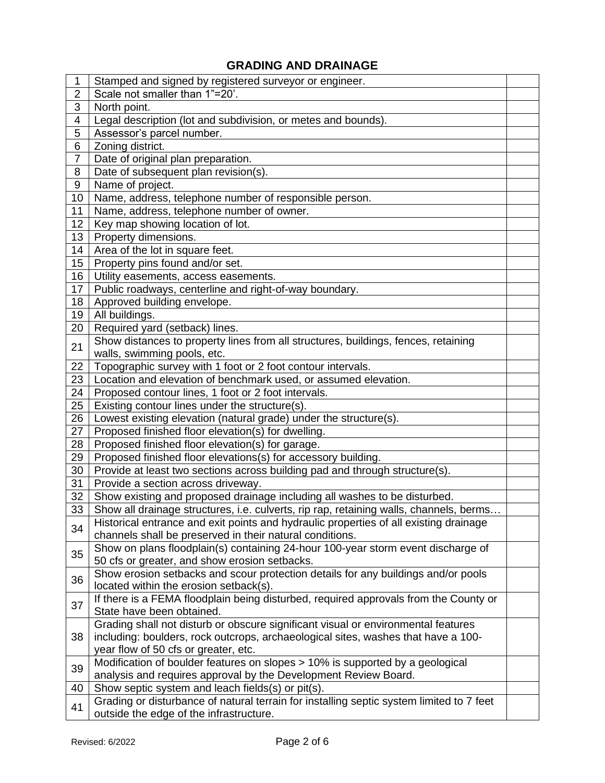# **GRADING AND DRAINAGE**

| 1                        | Stamped and signed by registered surveyor or engineer.                                   |  |
|--------------------------|------------------------------------------------------------------------------------------|--|
| $\overline{2}$           | Scale not smaller than 1"=20'.                                                           |  |
| 3                        | North point.                                                                             |  |
| $\overline{\mathcal{A}}$ | Legal description (lot and subdivision, or metes and bounds).                            |  |
| 5                        | Assessor's parcel number.                                                                |  |
| 6                        | Zoning district.                                                                         |  |
| $\overline{7}$           | Date of original plan preparation.                                                       |  |
| 8                        | Date of subsequent plan revision(s).                                                     |  |
| 9                        | Name of project.                                                                         |  |
| 10                       | Name, address, telephone number of responsible person.                                   |  |
| 11                       | Name, address, telephone number of owner.                                                |  |
| 12                       | Key map showing location of lot.                                                         |  |
| 13                       | Property dimensions.                                                                     |  |
| 14                       | Area of the lot in square feet.                                                          |  |
| 15                       | Property pins found and/or set.                                                          |  |
| 16                       | Utility easements, access easements.                                                     |  |
| 17                       | Public roadways, centerline and right-of-way boundary.                                   |  |
| 18                       | Approved building envelope.                                                              |  |
| 19                       | All buildings.                                                                           |  |
| 20                       | Required yard (setback) lines.                                                           |  |
|                          | Show distances to property lines from all structures, buildings, fences, retaining       |  |
| 21                       | walls, swimming pools, etc.                                                              |  |
| 22                       | Topographic survey with 1 foot or 2 foot contour intervals.                              |  |
| 23                       | Location and elevation of benchmark used, or assumed elevation.                          |  |
| 24                       | Proposed contour lines, 1 foot or 2 foot intervals.                                      |  |
| 25                       | Existing contour lines under the structure(s).                                           |  |
| 26                       | Lowest existing elevation (natural grade) under the structure(s).                        |  |
| 27                       | Proposed finished floor elevation(s) for dwelling.                                       |  |
| 28                       | Proposed finished floor elevation(s) for garage.                                         |  |
| 29                       | Proposed finished floor elevations(s) for accessory building.                            |  |
| 30                       | Provide at least two sections across building pad and through structure(s).              |  |
| 31                       | Provide a section across driveway.                                                       |  |
| 32                       | Show existing and proposed drainage including all washes to be disturbed.                |  |
| 33                       | Show all drainage structures, i.e. culverts, rip rap, retaining walls, channels, berms   |  |
|                          | Historical entrance and exit points and hydraulic properties of all existing drainage    |  |
| 34                       | channels shall be preserved in their natural conditions.                                 |  |
| 35                       | Show on plans floodplain(s) containing 24-hour 100-year storm event discharge of         |  |
|                          | 50 cfs or greater, and show erosion setbacks.                                            |  |
| 36                       | Show erosion setbacks and scour protection details for any buildings and/or pools        |  |
|                          | located within the erosion setback(s).                                                   |  |
| 37                       | If there is a FEMA floodplain being disturbed, required approvals from the County or     |  |
|                          | State have been obtained.                                                                |  |
|                          | Grading shall not disturb or obscure significant visual or environmental features        |  |
| 38                       | including: boulders, rock outcrops, archaeological sites, washes that have a 100-        |  |
|                          | year flow of 50 cfs or greater, etc.                                                     |  |
| 39                       | Modification of boulder features on slopes > 10% is supported by a geological            |  |
|                          | analysis and requires approval by the Development Review Board.                          |  |
| 40                       | Show septic system and leach fields(s) or pit(s).                                        |  |
| 41                       | Grading or disturbance of natural terrain for installing septic system limited to 7 feet |  |
|                          | outside the edge of the infrastructure.                                                  |  |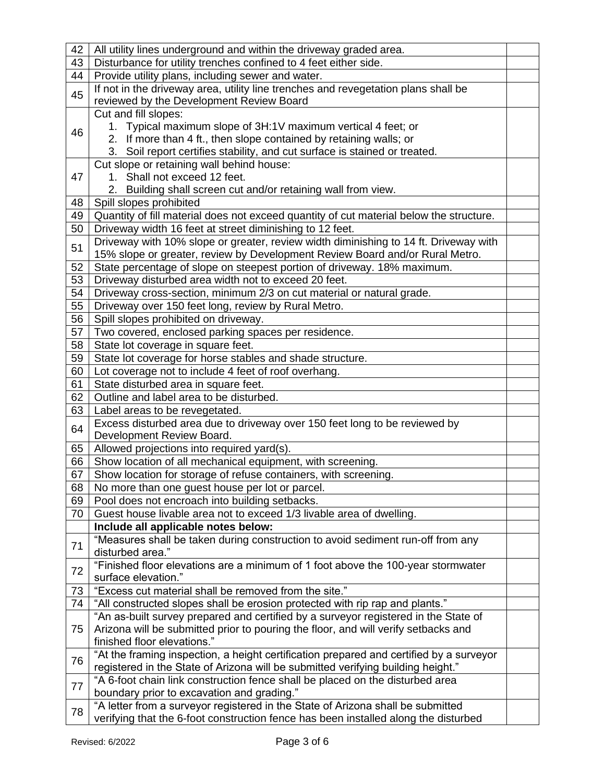| 42 | All utility lines underground and within the driveway graded area.                      |  |
|----|-----------------------------------------------------------------------------------------|--|
| 43 | Disturbance for utility trenches confined to 4 feet either side.                        |  |
| 44 | Provide utility plans, including sewer and water.                                       |  |
| 45 | If not in the driveway area, utility line trenches and revegetation plans shall be      |  |
|    | reviewed by the Development Review Board                                                |  |
|    | Cut and fill slopes:                                                                    |  |
| 46 | 1. Typical maximum slope of 3H:1V maximum vertical 4 feet; or                           |  |
|    | 2. If more than 4 ft., then slope contained by retaining walls; or                      |  |
|    | 3. Soil report certifies stability, and cut surface is stained or treated.              |  |
|    | Cut slope or retaining wall behind house:                                               |  |
| 47 | 1. Shall not exceed 12 feet.                                                            |  |
|    | 2. Building shall screen cut and/or retaining wall from view.                           |  |
| 48 | Spill slopes prohibited                                                                 |  |
| 49 | Quantity of fill material does not exceed quantity of cut material below the structure. |  |
| 50 | Driveway width 16 feet at street diminishing to 12 feet.                                |  |
| 51 | Driveway with 10% slope or greater, review width diminishing to 14 ft. Driveway with    |  |
|    | 15% slope or greater, review by Development Review Board and/or Rural Metro.            |  |
| 52 | State percentage of slope on steepest portion of driveway. 18% maximum.                 |  |
| 53 | Driveway disturbed area width not to exceed 20 feet.                                    |  |
| 54 | Driveway cross-section, minimum 2/3 on cut material or natural grade.                   |  |
| 55 | Driveway over 150 feet long, review by Rural Metro.                                     |  |
| 56 | Spill slopes prohibited on driveway.                                                    |  |
| 57 | Two covered, enclosed parking spaces per residence.                                     |  |
| 58 | State lot coverage in square feet.                                                      |  |
| 59 | State lot coverage for horse stables and shade structure.                               |  |
| 60 | Lot coverage not to include 4 feet of roof overhang.                                    |  |
| 61 | State disturbed area in square feet.                                                    |  |
| 62 | Outline and label area to be disturbed.                                                 |  |
| 63 | Label areas to be revegetated.                                                          |  |
| 64 | Excess disturbed area due to driveway over 150 feet long to be reviewed by              |  |
|    | Development Review Board.                                                               |  |
| 65 | Allowed projections into required yard(s).                                              |  |
| 66 | Show location of all mechanical equipment, with screening.                              |  |
| 67 | Show location for storage of refuse containers, with screening.                         |  |
| 68 | No more than one guest house per lot or parcel.                                         |  |
| 69 | Pool does not encroach into building setbacks.                                          |  |
| 70 | Guest house livable area not to exceed 1/3 livable area of dwelling.                    |  |
|    | Include all applicable notes below:                                                     |  |
| 71 | "Measures shall be taken during construction to avoid sediment run-off from any         |  |
|    | disturbed area."                                                                        |  |
| 72 | "Finished floor elevations are a minimum of 1 foot above the 100-year stormwater        |  |
|    | surface elevation."                                                                     |  |
| 73 | "Excess cut material shall be removed from the site."                                   |  |
| 74 | "All constructed slopes shall be erosion protected with rip rap and plants."            |  |
|    | "An as-built survey prepared and certified by a surveyor registered in the State of     |  |
| 75 | Arizona will be submitted prior to pouring the floor, and will verify setbacks and      |  |
|    | finished floor elevations."                                                             |  |
| 76 | "At the framing inspection, a height certification prepared and certified by a surveyor |  |
|    | registered in the State of Arizona will be submitted verifying building height."        |  |
| 77 | "A 6-foot chain link construction fence shall be placed on the disturbed area           |  |
|    | boundary prior to excavation and grading."                                              |  |
| 78 | "A letter from a surveyor registered in the State of Arizona shall be submitted         |  |
|    | verifying that the 6-foot construction fence has been installed along the disturbed     |  |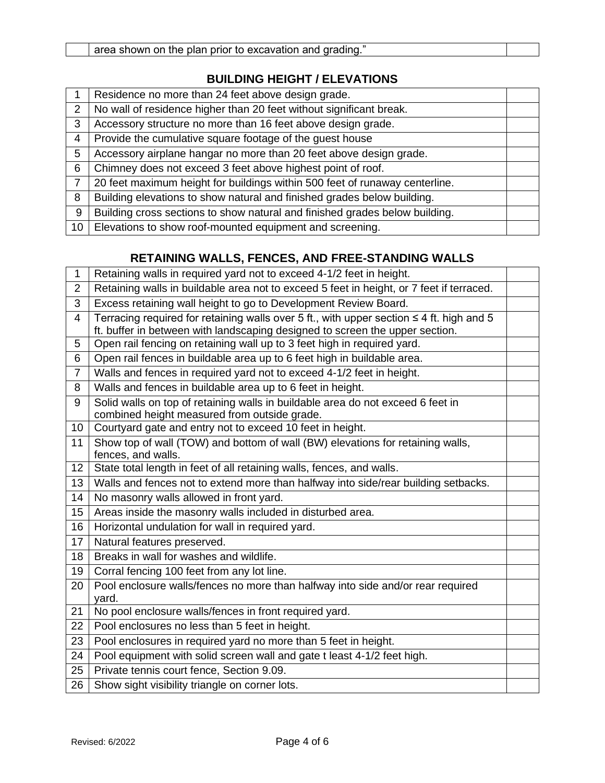## **BUILDING HEIGHT / ELEVATIONS**

|                | Residence no more than 24 feet above design grade.                          |  |
|----------------|-----------------------------------------------------------------------------|--|
| $\overline{2}$ | No wall of residence higher than 20 feet without significant break.         |  |
| 3              | Accessory structure no more than 16 feet above design grade.                |  |
| $\overline{4}$ | Provide the cumulative square footage of the guest house                    |  |
| 5              | Accessory airplane hangar no more than 20 feet above design grade.          |  |
| 6              | Chimney does not exceed 3 feet above highest point of roof.                 |  |
| $\overline{7}$ | 20 feet maximum height for buildings within 500 feet of runaway centerline. |  |
| 8              | Building elevations to show natural and finished grades below building.     |  |
| 9              | Building cross sections to show natural and finished grades below building. |  |
| 10             | Elevations to show roof-mounted equipment and screening.                    |  |

# **RETAINING WALLS, FENCES, AND FREE-STANDING WALLS**

| 1               | Retaining walls in required yard not to exceed 4-1/2 feet in height.                          |  |
|-----------------|-----------------------------------------------------------------------------------------------|--|
| $\overline{2}$  | Retaining walls in buildable area not to exceed 5 feet in height, or 7 feet if terraced.      |  |
| 3               | Excess retaining wall height to go to Development Review Board.                               |  |
| $\overline{4}$  | Terracing required for retaining walls over 5 ft., with upper section $\leq 4$ ft. high and 5 |  |
|                 | ft. buffer in between with landscaping designed to screen the upper section.                  |  |
| 5               | Open rail fencing on retaining wall up to 3 feet high in required yard.                       |  |
| 6               | Open rail fences in buildable area up to 6 feet high in buildable area.                       |  |
| $\overline{7}$  | Walls and fences in required yard not to exceed 4-1/2 feet in height.                         |  |
| 8               | Walls and fences in buildable area up to 6 feet in height.                                    |  |
| 9               | Solid walls on top of retaining walls in buildable area do not exceed 6 feet in               |  |
|                 | combined height measured from outside grade.                                                  |  |
| 10              | Courtyard gate and entry not to exceed 10 feet in height.                                     |  |
| 11              | Show top of wall (TOW) and bottom of wall (BW) elevations for retaining walls,                |  |
|                 | fences, and walls.                                                                            |  |
| 12 <sub>2</sub> | State total length in feet of all retaining walls, fences, and walls.                         |  |
| 13              | Walls and fences not to extend more than halfway into side/rear building setbacks.            |  |
| 14              | No masonry walls allowed in front yard.                                                       |  |
| 15              | Areas inside the masonry walls included in disturbed area.                                    |  |
| 16              | Horizontal undulation for wall in required yard.                                              |  |
| 17              | Natural features preserved.                                                                   |  |
| 18              | Breaks in wall for washes and wildlife.                                                       |  |
| 19              | Corral fencing 100 feet from any lot line.                                                    |  |
| 20              | Pool enclosure walls/fences no more than halfway into side and/or rear required               |  |
|                 | yard.                                                                                         |  |
| 21              | No pool enclosure walls/fences in front required yard.                                        |  |
| 22              | Pool enclosures no less than 5 feet in height.                                                |  |
| 23              | Pool enclosures in required yard no more than 5 feet in height.                               |  |
| 24              | Pool equipment with solid screen wall and gate t least 4-1/2 feet high.                       |  |
| 25              | Private tennis court fence, Section 9.09.                                                     |  |
| 26              | Show sight visibility triangle on corner lots.                                                |  |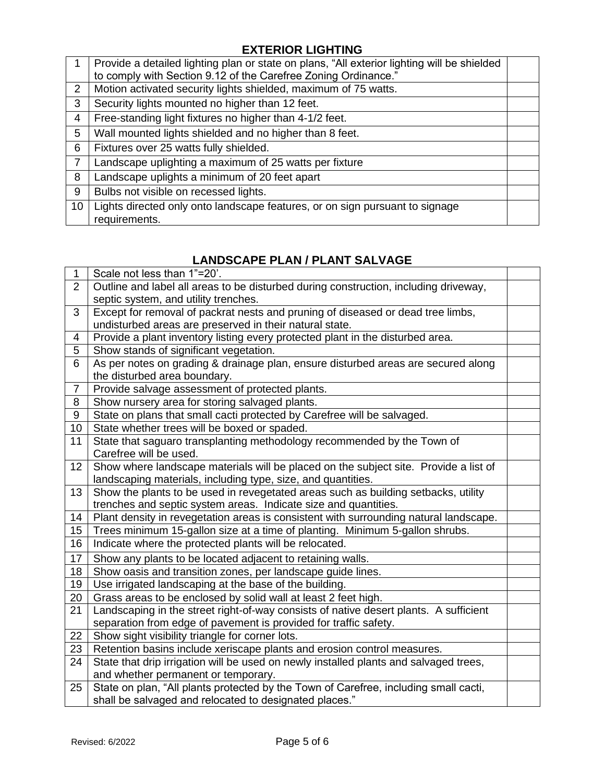# **EXTERIOR LIGHTING**

|                 | Provide a detailed lighting plan or state on plans, "All exterior lighting will be shielded<br>to comply with Section 9.12 of the Carefree Zoning Ordinance." |  |
|-----------------|---------------------------------------------------------------------------------------------------------------------------------------------------------------|--|
| 2               | Motion activated security lights shielded, maximum of 75 watts.                                                                                               |  |
| 3               | Security lights mounted no higher than 12 feet.                                                                                                               |  |
| 4               | Free-standing light fixtures no higher than 4-1/2 feet.                                                                                                       |  |
| $5\overline{)}$ | Wall mounted lights shielded and no higher than 8 feet.                                                                                                       |  |
| 6               | Fixtures over 25 watts fully shielded.                                                                                                                        |  |
| $\overline{7}$  | Landscape uplighting a maximum of 25 watts per fixture                                                                                                        |  |
| 8               | Landscape uplights a minimum of 20 feet apart                                                                                                                 |  |
| 9               | Bulbs not visible on recessed lights.                                                                                                                         |  |
| 10 <sup>°</sup> | Lights directed only onto landscape features, or on sign pursuant to signage<br>requirements.                                                                 |  |

## **LANDSCAPE PLAN / PLANT SALVAGE**

| 1              | Scale not less than 1"=20'.                                                           |  |
|----------------|---------------------------------------------------------------------------------------|--|
| $\overline{2}$ | Outline and label all areas to be disturbed during construction, including driveway,  |  |
|                | septic system, and utility trenches.                                                  |  |
| 3              | Except for removal of packrat nests and pruning of diseased or dead tree limbs,       |  |
|                | undisturbed areas are preserved in their natural state.                               |  |
| 4              | Provide a plant inventory listing every protected plant in the disturbed area.        |  |
| 5              | Show stands of significant vegetation.                                                |  |
| 6              | As per notes on grading & drainage plan, ensure disturbed areas are secured along     |  |
|                | the disturbed area boundary.                                                          |  |
| $\overline{7}$ | Provide salvage assessment of protected plants.                                       |  |
| 8              | Show nursery area for storing salvaged plants.                                        |  |
| 9              | State on plans that small cacti protected by Carefree will be salvaged.               |  |
| 10             | State whether trees will be boxed or spaded.                                          |  |
| 11             | State that saguaro transplanting methodology recommended by the Town of               |  |
|                | Carefree will be used.                                                                |  |
| 12             | Show where landscape materials will be placed on the subject site. Provide a list of  |  |
|                | landscaping materials, including type, size, and quantities.                          |  |
| 13             | Show the plants to be used in revegetated areas such as building setbacks, utility    |  |
|                | trenches and septic system areas. Indicate size and quantities.                       |  |
| 14             | Plant density in revegetation areas is consistent with surrounding natural landscape. |  |
| 15             | Trees minimum 15-gallon size at a time of planting. Minimum 5-gallon shrubs.          |  |
| 16             | Indicate where the protected plants will be relocated.                                |  |
| 17             | Show any plants to be located adjacent to retaining walls.                            |  |
| 18             | Show oasis and transition zones, per landscape guide lines.                           |  |
| 19             | Use irrigated landscaping at the base of the building.                                |  |
| 20             | Grass areas to be enclosed by solid wall at least 2 feet high.                        |  |
| 21             | Landscaping in the street right-of-way consists of native desert plants. A sufficient |  |
|                | separation from edge of pavement is provided for traffic safety.                      |  |
| 22             | Show sight visibility triangle for corner lots.                                       |  |
| 23             | Retention basins include xeriscape plants and erosion control measures.               |  |
| 24             | State that drip irrigation will be used on newly installed plants and salvaged trees, |  |
|                | and whether permanent or temporary.                                                   |  |
| 25             | State on plan, "All plants protected by the Town of Carefree, including small cacti,  |  |
|                | shall be salvaged and relocated to designated places."                                |  |